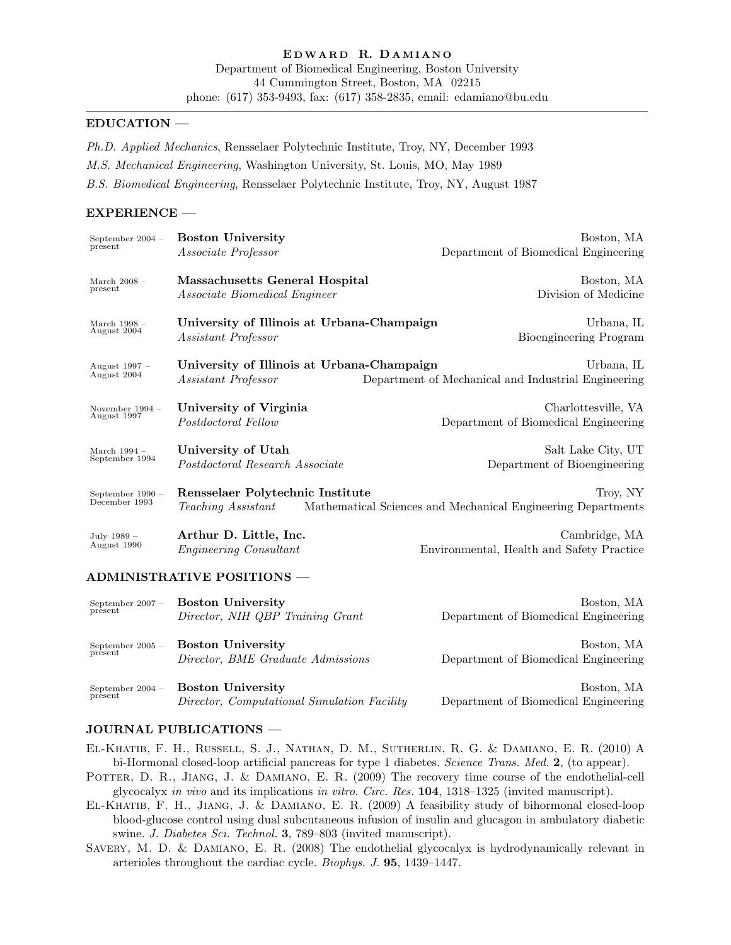### EDUCATION —

Ph.D. Applied Mechanics, Rensselaer Polytechnic Institute, Troy, NY, December 1993 M.S. Mechanical Engineering, Washington University, St. Louis, MO, May 1989 B.S. Biomedical Engineering, Rensselaer Polytechnic Institute, Troy, NY, August 1987

### EXPERIENCE —

| September $2004 -$<br>present | <b>Boston University</b>                   | Boston, MA                                                   |
|-------------------------------|--------------------------------------------|--------------------------------------------------------------|
|                               | Associate Professor                        | Department of Biomedical Engineering                         |
| March $2008 -$                | Massachusetts General Hospital             | Boston, MA                                                   |
| present                       | <i>Associate Biomedical Engineer</i>       | Division of Medicine                                         |
| March $1998 -$                | University of Illinois at Urbana-Champaign | Urbana, IL                                                   |
| August 2004                   | Assistant Professor                        | Bioengineering Program                                       |
| August 1997 -                 | University of Illinois at Urbana-Champaign | Urbana, IL                                                   |
| August 2004                   | <i>Assistant Professor</i>                 | Department of Mechanical and Industrial Engineering          |
| November 1994 -               | University of Virginia                     | Charlottesville, VA                                          |
| August 1997                   | Postdoctoral Fellow                        | Department of Biomedical Engineering                         |
| March $1994-$                 | University of Utah                         | Salt Lake City, UT                                           |
| September 1994                | Postdoctoral Research Associate            | Department of Bioengineering                                 |
| September 1990 -              | Rensselaer Polytechnic Institute           | Troy, NY                                                     |
| December 1993                 | <i>Teaching Assistant</i>                  | Mathematical Sciences and Mechanical Engineering Departments |
| July 1989 -                   | Arthur D. Little, Inc.                     | Cambridge, MA                                                |
| August 1990                   | <i>Engineering Consultant</i>              | Environmental, Health and Safety Practice                    |

#### ADMINISTRATIVE POSITIONS —

| September $2007 -$ | <b>Boston University</b>                    | Boston, MA                           |
|--------------------|---------------------------------------------|--------------------------------------|
| present            | Director, NIH QBP Training Grant            | Department of Biomedical Engineering |
| September $2005 -$ | <b>Boston University</b>                    | Boston, MA                           |
| present            | Director, BME Graduate Admissions           | Department of Biomedical Engineering |
| September $2004 -$ | <b>Boston University</b>                    | Boston, MA                           |
| present            | Director, Computational Simulation Facility | Department of Biomedical Engineering |

## JOURNAL PUBLICATIONS —

- El-Khatib, F. H., Russell, S. J., Nathan, D. M., Sutherlin, R. G. & Damiano, E. R. (2010) A bi-Hormonal closed-loop artificial pancreas for type 1 diabetes. Science Trans. Med. 2, (to appear).
- POTTER, D. R., JIANG, J. & DAMIANO, E. R. (2009) The recovery time course of the endothelial-cell glycocalyx in vivo and its implications in vitro. Circ. Res. 104, 1318–1325 (invited manuscript).
- El-Khatib, F. H., Jiang, J. & Damiano, E. R. (2009) A feasibility study of bihormonal closed-loop blood-glucose control using dual subcutaneous infusion of insulin and glucagon in ambulatory diabetic swine. J. Diabetes Sci. Technol. 3, 789–803 (invited manuscript).
- Savery, M. D. & Damiano, E. R. (2008) The endothelial glycocalyx is hydrodynamically relevant in arterioles throughout the cardiac cycle. Biophys. J. 95, 1439–1447.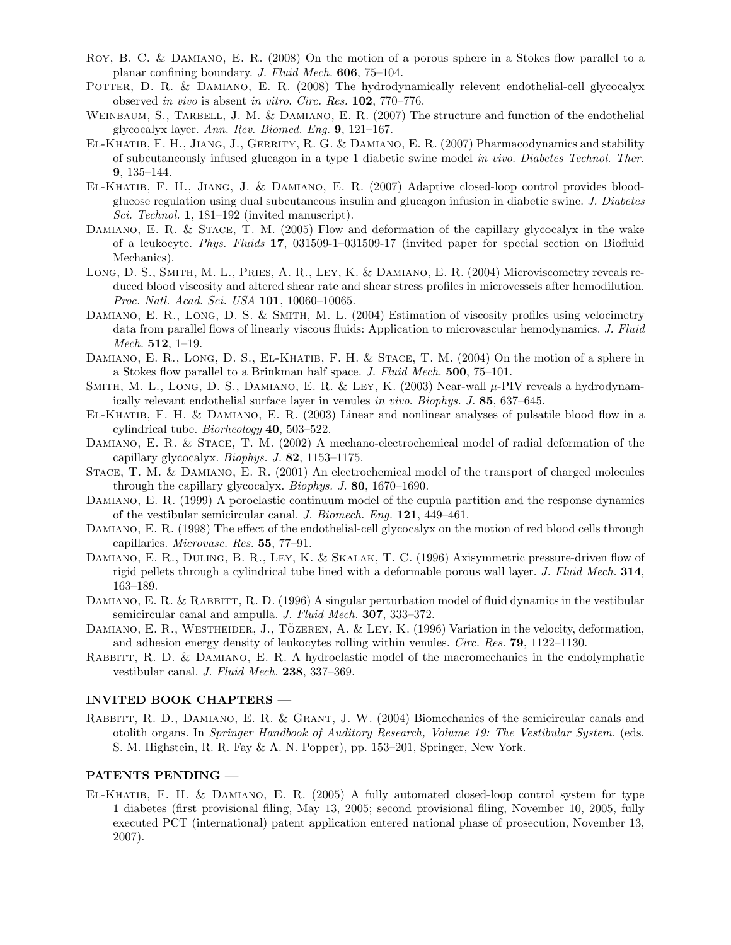- ROY, B. C. & DAMIANO, E. R. (2008) On the motion of a porous sphere in a Stokes flow parallel to a planar confining boundary. J. Fluid Mech. 606, 75–104.
- POTTER, D. R. & DAMIANO, E. R. (2008) The hydrodynamically relevent endothelial-cell glycocalyx observed in vivo is absent in vitro. Circ. Res. 102, 770–776.
- WEINBAUM, S., TARBELL, J. M. & DAMIANO, E. R. (2007) The structure and function of the endothelial glycocalyx layer. Ann. Rev. Biomed. Eng. 9, 121–167.
- El-Khatib, F. H., Jiang, J., Gerrity, R. G. & Damiano, E. R. (2007) Pharmacodynamics and stability of subcutaneously infused glucagon in a type 1 diabetic swine model in vivo. Diabetes Technol. Ther. 9, 135–144.
- El-Khatib, F. H., Jiang, J. & Damiano, E. R. (2007) Adaptive closed-loop control provides bloodglucose regulation using dual subcutaneous insulin and glucagon infusion in diabetic swine. J. Diabetes Sci. Technol. 1, 181–192 (invited manuscript).
- DAMIANO, E. R. & STACE, T. M. (2005) Flow and deformation of the capillary glycocalyx in the wake of a leukocyte. Phys. Fluids 17, 031509-1–031509-17 (invited paper for special section on Biofluid Mechanics).
- Long, D. S., Smith, M. L., Pries, A. R., Ley, K. & Damiano, E. R. (2004) Microviscometry reveals reduced blood viscosity and altered shear rate and shear stress profiles in microvessels after hemodilution. Proc. Natl. Acad. Sci. USA 101, 10060-10065.
- DAMIANO, E. R., LONG, D. S. & SMITH, M. L. (2004) Estimation of viscosity profiles using velocimetry data from parallel flows of linearly viscous fluids: Application to microvascular hemodynamics. J. Fluid *Mech.* **512**, 1–19.
- DAMIANO, E. R., LONG, D. S., EL-KHATIB, F. H. & STACE, T. M. (2004) On the motion of a sphere in a Stokes flow parallel to a Brinkman half space. J. Fluid Mech. 500, 75–101.
- SMITH, M. L., LONG, D. S., DAMIANO, E. R. & LEY, K. (2003) Near-wall  $\mu$ -PIV reveals a hydrodynamically relevant endothelial surface layer in venules in vivo. Biophys. J. 85, 637–645.
- El-Khatib, F. H. & Damiano, E. R. (2003) Linear and nonlinear analyses of pulsatile blood flow in a cylindrical tube. Biorheology 40, 503–522.
- DAMIANO, E. R. & STACE, T. M. (2002) A mechano-electrochemical model of radial deformation of the capillary glycocalyx. Biophys. J. 82, 1153–1175.
- Stace, T. M. & Damiano, E. R. (2001) An electrochemical model of the transport of charged molecules through the capillary glycocalyx. Biophys. J. 80, 1670–1690.
- Damiano, E. R. (1999) A poroelastic continuum model of the cupula partition and the response dynamics of the vestibular semicircular canal. J. Biomech. Eng. 121, 449–461.
- Damiano, E. R. (1998) The effect of the endothelial-cell glycocalyx on the motion of red blood cells through capillaries. Microvasc. Res. 55, 77–91.
- Damiano, E. R., Duling, B. R., Ley, K. & Skalak, T. C. (1996) Axisymmetric pressure-driven flow of rigid pellets through a cylindrical tube lined with a deformable porous wall layer. J. Fluid Mech. 314, 163–189.
- DAMIANO, E. R. & RABBITT, R. D. (1996) A singular perturbation model of fluid dynamics in the vestibular semicircular canal and ampulla. J. Fluid Mech. **307**, 333–372.
- DAMIANO, E. R., WESTHEIDER, J., TÖZEREN, A. & LEY, K. (1996) Variation in the velocity, deformation, and adhesion energy density of leukocytes rolling within venules. Circ. Res. 79, 1122–1130.
- RABBITT, R. D. & DAMIANO, E. R. A hydroelastic model of the macromechanics in the endolymphatic vestibular canal. J. Fluid Mech. 238, 337–369.

#### INVITED BOOK CHAPTERS —

Rabbitt, R. D., Damiano, E. R. & Grant, J. W. (2004) Biomechanics of the semicircular canals and otolith organs. In Springer Handbook of Auditory Research, Volume 19: The Vestibular System. (eds. S. M. Highstein, R. R. Fay & A. N. Popper), pp. 153–201, Springer, New York.

### PATENTS PENDING —

El-Khatib, F. H. & Damiano, E. R. (2005) A fully automated closed-loop control system for type 1 diabetes (first provisional filing, May 13, 2005; second provisional filing, November 10, 2005, fully executed PCT (international) patent application entered national phase of prosecution, November 13, 2007).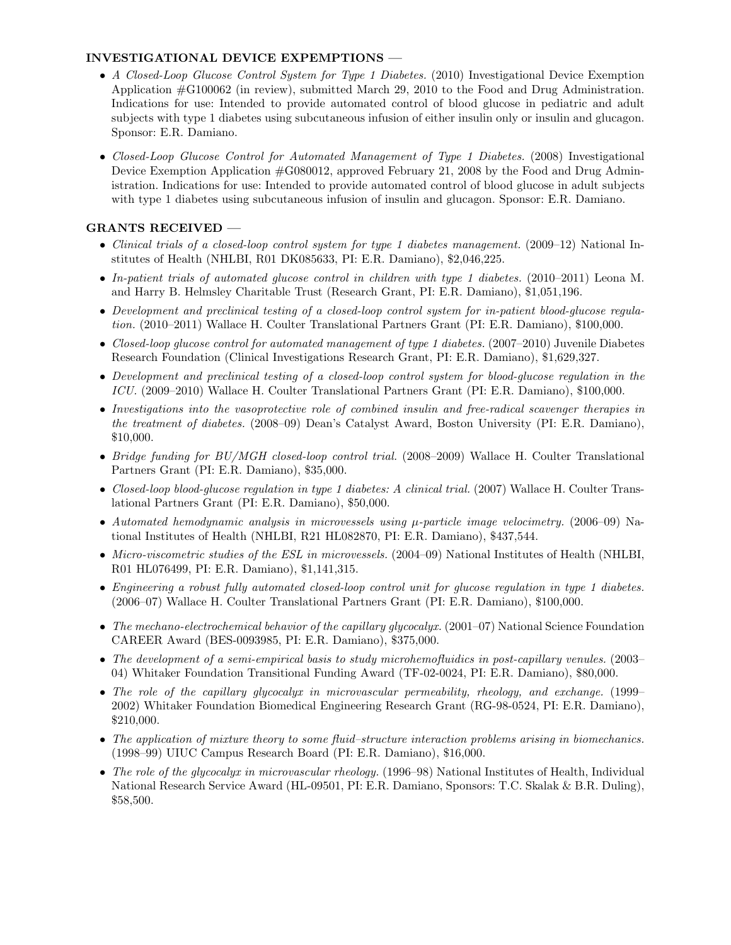# INVESTIGATIONAL DEVICE EXPEMPTIONS —

- A Closed-Loop Glucose Control System for Type 1 Diabetes. (2010) Investigational Device Exemption Application #G100062 (in review), submitted March 29, 2010 to the Food and Drug Administration. Indications for use: Intended to provide automated control of blood glucose in pediatric and adult subjects with type 1 diabetes using subcutaneous infusion of either insulin only or insulin and glucagon. Sponsor: E.R. Damiano.
- Closed-Loop Glucose Control for Automated Management of Type 1 Diabetes. (2008) Investigational Device Exemption Application #G080012, approved February 21, 2008 by the Food and Drug Administration. Indications for use: Intended to provide automated control of blood glucose in adult subjects with type 1 diabetes using subcutaneous infusion of insulin and glucagon. Sponsor: E.R. Damiano.

# GRANTS RECEIVED —

- Clinical trials of a closed-loop control system for type 1 diabetes management. (2009–12) National Institutes of Health (NHLBI, R01 DK085633, PI: E.R. Damiano), \$2,046,225.
- In-patient trials of automated glucose control in children with type 1 diabetes. (2010–2011) Leona M. and Harry B. Helmsley Charitable Trust (Research Grant, PI: E.R. Damiano), \$1,051,196.
- Development and preclinical testing of a closed-loop control system for in-patient blood-glucose regulation. (2010–2011) Wallace H. Coulter Translational Partners Grant (PI: E.R. Damiano), \$100,000.
- Closed-loop glucose control for automated management of type 1 diabetes. (2007–2010) Juvenile Diabetes Research Foundation (Clinical Investigations Research Grant, PI: E.R. Damiano), \$1,629,327.
- Development and preclinical testing of a closed-loop control system for blood-glucose regulation in the ICU. (2009–2010) Wallace H. Coulter Translational Partners Grant (PI: E.R. Damiano), \$100,000.
- Investigations into the vasoprotective role of combined insulin and free-radical scavenger therapies in the treatment of diabetes. (2008–09) Dean's Catalyst Award, Boston University (PI: E.R. Damiano), \$10,000.
- Bridge funding for BU/MGH closed-loop control trial. (2008–2009) Wallace H. Coulter Translational Partners Grant (PI: E.R. Damiano), \$35,000.
- Closed-loop blood-glucose regulation in type 1 diabetes: A clinical trial. (2007) Wallace H. Coulter Translational Partners Grant (PI: E.R. Damiano), \$50,000.
- Automated hemodynamic analysis in microvessels using  $\mu$ -particle image velocimetry. (2006–09) National Institutes of Health (NHLBI, R21 HL082870, PI: E.R. Damiano), \$437,544.
- Micro-viscometric studies of the ESL in microvessels. (2004–09) National Institutes of Health (NHLBI, R01 HL076499, PI: E.R. Damiano), \$1,141,315.
- Engineering a robust fully automated closed-loop control unit for glucose regulation in type 1 diabetes. (2006–07) Wallace H. Coulter Translational Partners Grant (PI: E.R. Damiano), \$100,000.
- The mechano-electrochemical behavior of the capillary glycocalyx. (2001–07) National Science Foundation CAREER Award (BES-0093985, PI: E.R. Damiano), \$375,000.
- The development of a semi-empirical basis to study microhemofluidics in post-capillary venules. (2003– 04) Whitaker Foundation Transitional Funding Award (TF-02-0024, PI: E.R. Damiano), \$80,000.
- The role of the capillary glycocaly in microvascular permeability, rheology, and exchange. (1999– 2002) Whitaker Foundation Biomedical Engineering Research Grant (RG-98-0524, PI: E.R. Damiano), \$210,000.
- The application of mixture theory to some fluid–structure interaction problems arising in biomechanics. (1998–99) UIUC Campus Research Board (PI: E.R. Damiano), \$16,000.
- The role of the glycocalyx in microvascular rheology. (1996–98) National Institutes of Health, Individual National Research Service Award (HL-09501, PI: E.R. Damiano, Sponsors: T.C. Skalak & B.R. Duling), \$58,500.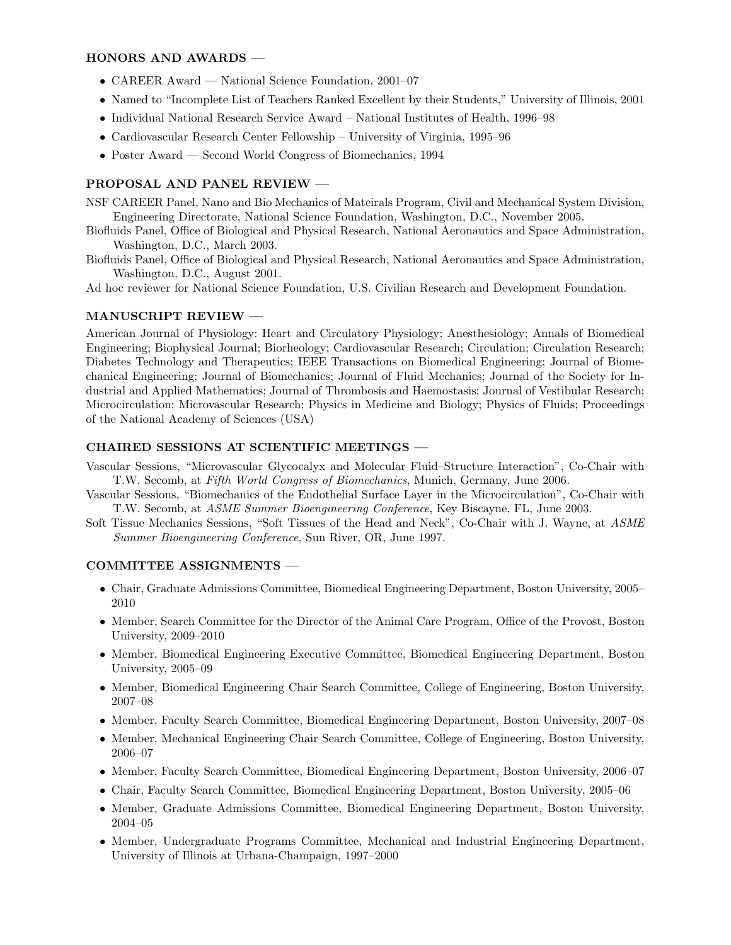### HONORS AND AWARDS —

- CAREER Award National Science Foundation, 2001–07
- Named to "Incomplete List of Teachers Ranked Excellent by their Students," University of Illinois, 2001
- Individual National Research Service Award National Institutes of Health, 1996–98
- Cardiovascular Research Center Fellowship University of Virginia, 1995–96
- Poster Award Second World Congress of Biomechanics, 1994

## PROPOSAL AND PANEL REVIEW —

- NSF CAREER Panel, Nano and Bio Mechanics of Mateirals Program, Civil and Mechanical System Division, Engineering Directorate, National Science Foundation, Washington, D.C., November 2005.
- Biofluids Panel, Office of Biological and Physical Research, National Aeronautics and Space Administration, Washington, D.C., March 2003.
- Biofluids Panel, Office of Biological and Physical Research, National Aeronautics and Space Administration, Washington, D.C., August 2001.

Ad hoc reviewer for National Science Foundation, U.S. Civilian Research and Development Foundation.

### MANUSCRIPT REVIEW —

American Journal of Physiology: Heart and Circulatory Physiology; Anesthesiology; Annals of Biomedical Engineering; Biophysical Journal; Biorheology; Cardiovascular Research; Circulation; Circulation Research; Diabetes Technology and Therapeutics; IEEE Transactions on Biomedical Engineering; Journal of Biomechanical Engineering; Journal of Biomechanics; Journal of Fluid Mechanics; Journal of the Society for Industrial and Applied Mathematics; Journal of Thrombosis and Haemostasis; Journal of Vestibular Research; Microcirculation; Microvascular Research; Physics in Medicine and Biology; Physics of Fluids; Proceedings of the National Academy of Sciences (USA)

#### CHAIRED SESSIONS AT SCIENTIFIC MEETINGS —

Vascular Sessions, "Microvascular Glycocalyx and Molecular Fluid–Structure Interaction", Co-Chair with T.W. Secomb, at Fifth World Congress of Biomechanics, Munich, Germany, June 2006.

- Vascular Sessions, "Biomechanics of the Endothelial Surface Layer in the Microcirculation", Co-Chair with T.W. Secomb, at ASME Summer Bioengineering Conference, Key Biscayne, FL, June 2003.
- Soft Tissue Mechanics Sessions, "Soft Tissues of the Head and Neck", Co-Chair with J. Wayne, at ASME Summer Bioengineering Conference, Sun River, OR, June 1997.

#### COMMITTEE ASSIGNMENTS —

- Chair, Graduate Admissions Committee, Biomedical Engineering Department, Boston University, 2005– 2010
- Member, Search Committee for the Director of the Animal Care Program, Office of the Provost, Boston University, 2009–2010
- Member, Biomedical Engineering Executive Committee, Biomedical Engineering Department, Boston University, 2005–09
- Member, Biomedical Engineering Chair Search Committee, College of Engineering, Boston University, 2007–08
- Member, Faculty Search Committee, Biomedical Engineering Department, Boston University, 2007–08
- Member, Mechanical Engineering Chair Search Committee, College of Engineering, Boston University, 2006–07
- Member, Faculty Search Committee, Biomedical Engineering Department, Boston University, 2006–07
- Chair, Faculty Search Committee, Biomedical Engineering Department, Boston University, 2005–06
- Member, Graduate Admissions Committee, Biomedical Engineering Department, Boston University, 2004–05
- Member, Undergraduate Programs Committee, Mechanical and Industrial Engineering Department, University of Illinois at Urbana-Champaign, 1997–2000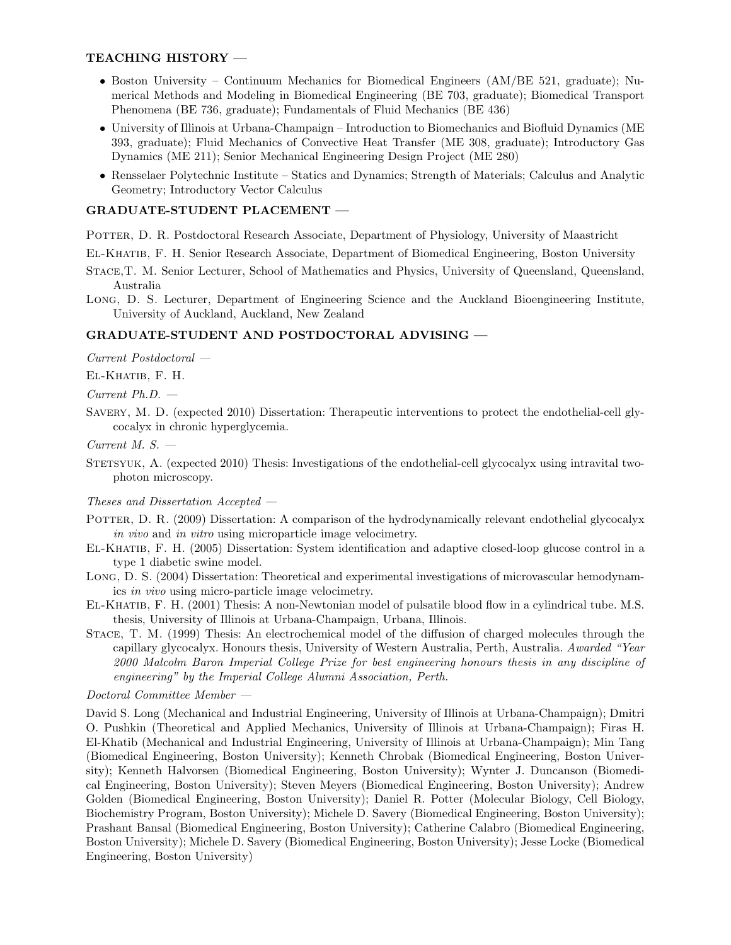### TEACHING HISTORY —

- Boston University Continuum Mechanics for Biomedical Engineers (AM/BE 521, graduate); Numerical Methods and Modeling in Biomedical Engineering (BE 703, graduate); Biomedical Transport Phenomena (BE 736, graduate); Fundamentals of Fluid Mechanics (BE 436)
- University of Illinois at Urbana-Champaign Introduction to Biomechanics and Biofluid Dynamics (ME 393, graduate); Fluid Mechanics of Convective Heat Transfer (ME 308, graduate); Introductory Gas Dynamics (ME 211); Senior Mechanical Engineering Design Project (ME 280)
- Rensselaer Polytechnic Institute Statics and Dynamics; Strength of Materials; Calculus and Analytic Geometry; Introductory Vector Calculus

## GRADUATE-STUDENT PLACEMENT —

Potter, D. R. Postdoctoral Research Associate, Department of Physiology, University of Maastricht

El-Khatib, F. H. Senior Research Associate, Department of Biomedical Engineering, Boston University

- Stace,T. M. Senior Lecturer, School of Mathematics and Physics, University of Queensland, Queensland, Australia
- Long, D. S. Lecturer, Department of Engineering Science and the Auckland Bioengineering Institute, University of Auckland, Auckland, New Zealand

### GRADUATE-STUDENT AND POSTDOCTORAL ADVISING —

Current Postdoctoral —

El-Khatib, F. H.

Current Ph.D. —

SAVERY, M. D. (expected 2010) Dissertation: Therapeutic interventions to protect the endothelial-cell glycocalyx in chronic hyperglycemia.

 $Current M. S. -$ 

STETSYUK, A. (expected 2010) Thesis: Investigations of the endothelial-cell glycocalyx using intravital twophoton microscopy.

Theses and Dissertation Accepted —

- POTTER, D. R. (2009) Dissertation: A comparison of the hydrodynamically relevant endothelial glycocalyx in vivo and in vitro using microparticle image velocimetry.
- El-Khatib, F. H. (2005) Dissertation: System identification and adaptive closed-loop glucose control in a type 1 diabetic swine model.
- Long, D. S. (2004) Dissertation: Theoretical and experimental investigations of microvascular hemodynamics in vivo using micro-particle image velocimetry.
- El-Khatib, F. H. (2001) Thesis: A non-Newtonian model of pulsatile blood flow in a cylindrical tube. M.S. thesis, University of Illinois at Urbana-Champaign, Urbana, Illinois.
- Stace, T. M. (1999) Thesis: An electrochemical model of the diffusion of charged molecules through the capillary glycocalyx. Honours thesis, University of Western Australia, Perth, Australia. Awarded "Year 2000 Malcolm Baron Imperial College Prize for best engineering honours thesis in any discipline of engineering" by the Imperial College Alumni Association, Perth.

Doctoral Committee Member —

David S. Long (Mechanical and Industrial Engineering, University of Illinois at Urbana-Champaign); Dmitri O. Pushkin (Theoretical and Applied Mechanics, University of Illinois at Urbana-Champaign); Firas H. El-Khatib (Mechanical and Industrial Engineering, University of Illinois at Urbana-Champaign); Min Tang (Biomedical Engineering, Boston University); Kenneth Chrobak (Biomedical Engineering, Boston University); Kenneth Halvorsen (Biomedical Engineering, Boston University); Wynter J. Duncanson (Biomedical Engineering, Boston University); Steven Meyers (Biomedical Engineering, Boston University); Andrew Golden (Biomedical Engineering, Boston University); Daniel R. Potter (Molecular Biology, Cell Biology, Biochemistry Program, Boston University); Michele D. Savery (Biomedical Engineering, Boston University); Prashant Bansal (Biomedical Engineering, Boston University); Catherine Calabro (Biomedical Engineering, Boston University); Michele D. Savery (Biomedical Engineering, Boston University); Jesse Locke (Biomedical Engineering, Boston University)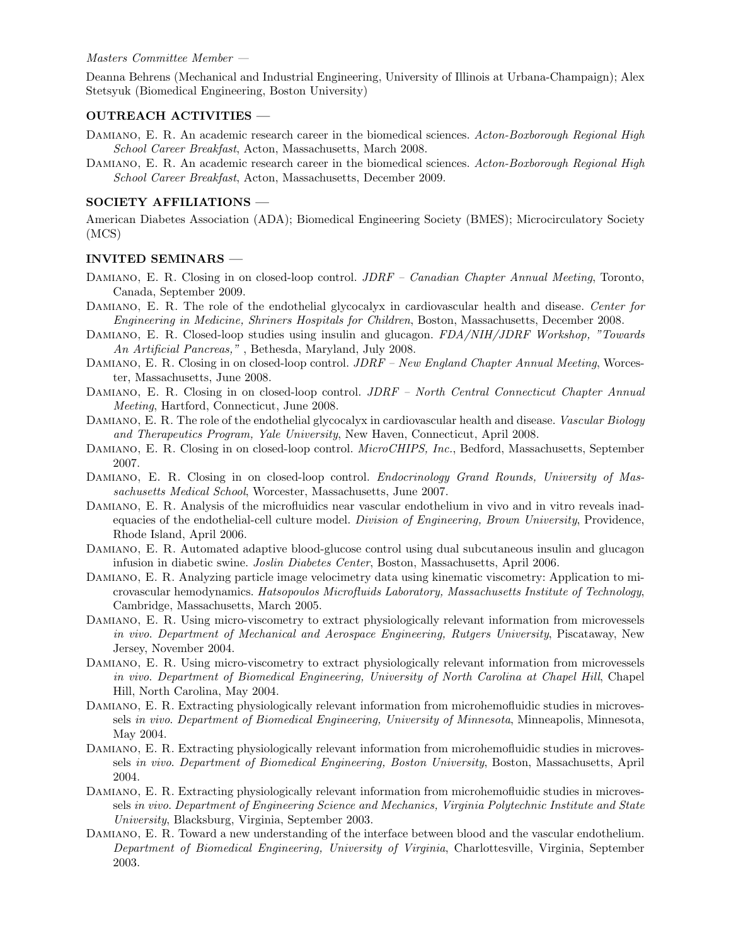#### Masters Committee Member —

Deanna Behrens (Mechanical and Industrial Engineering, University of Illinois at Urbana-Champaign); Alex Stetsyuk (Biomedical Engineering, Boston University)

#### OUTREACH ACTIVITIES —

- DAMIANO, E. R. An academic research career in the biomedical sciences. Acton-Boxborough Regional High School Career Breakfast, Acton, Massachusetts, March 2008.
- DAMIANO, E. R. An academic research career in the biomedical sciences. Acton-Boxborough Regional High School Career Breakfast, Acton, Massachusetts, December 2009.

### SOCIETY AFFILIATIONS —

American Diabetes Association (ADA); Biomedical Engineering Society (BMES); Microcirculatory Society (MCS)

#### INVITED SEMINARS —

- DAMIANO, E. R. Closing in on closed-loop control. *JDRF Canadian Chapter Annual Meeting*, Toronto, Canada, September 2009.
- DAMIANO, E. R. The role of the endothelial glycocalyx in cardiovascular health and disease. Center for Engineering in Medicine, Shriners Hospitals for Children, Boston, Massachusetts, December 2008.
- DAMIANO, E. R. Closed-loop studies using insulin and glucagon. FDA/NIH/JDRF Workshop, "Towards An Artificial Pancreas," , Bethesda, Maryland, July 2008.
- DAMIANO, E. R. Closing in on closed-loop control. JDRF New England Chapter Annual Meeting, Worcester, Massachusetts, June 2008.
- DAMIANO, E. R. Closing in on closed-loop control. JDRF North Central Connecticut Chapter Annual Meeting, Hartford, Connecticut, June 2008.
- DAMIANO, E. R. The role of the endothelial glycocalyx in cardiovascular health and disease. Vascular Biology and Therapeutics Program, Yale University, New Haven, Connecticut, April 2008.
- DAMIANO, E. R. Closing in on closed-loop control. *MicroCHIPS*, Inc., Bedford, Massachusetts, September 2007.
- Damiano, E. R. Closing in on closed-loop control. Endocrinology Grand Rounds, University of Massachusetts Medical School, Worcester, Massachusetts, June 2007.
- Damiano, E. R. Analysis of the microfluidics near vascular endothelium in vivo and in vitro reveals inadequacies of the endothelial-cell culture model. Division of Engineering, Brown University, Providence, Rhode Island, April 2006.
- Damiano, E. R. Automated adaptive blood-glucose control using dual subcutaneous insulin and glucagon infusion in diabetic swine. Joslin Diabetes Center, Boston, Massachusetts, April 2006.
- Damiano, E. R. Analyzing particle image velocimetry data using kinematic viscometry: Application to microvascular hemodynamics. Hatsopoulos Microfluids Laboratory, Massachusetts Institute of Technology, Cambridge, Massachusetts, March 2005.
- Damiano, E. R. Using micro-viscometry to extract physiologically relevant information from microvessels in vivo. Department of Mechanical and Aerospace Engineering, Rutgers University, Piscataway, New Jersey, November 2004.
- Damiano, E. R. Using micro-viscometry to extract physiologically relevant information from microvessels in vivo. Department of Biomedical Engineering, University of North Carolina at Chapel Hill, Chapel Hill, North Carolina, May 2004.
- DAMIANO, E. R. Extracting physiologically relevant information from microhemofluidic studies in microvessels in vivo. Department of Biomedical Engineering, University of Minnesota, Minneapolis, Minnesota, May 2004.
- DAMIANO, E. R. Extracting physiologically relevant information from microhemofluidic studies in microvessels in vivo. Department of Biomedical Engineering, Boston University, Boston, Massachusetts, April 2004.
- DAMIANO, E. R. Extracting physiologically relevant information from microhemofluidic studies in microvessels in vivo. Department of Engineering Science and Mechanics, Virginia Polytechnic Institute and State University, Blacksburg, Virginia, September 2003.
- Damiano, E. R. Toward a new understanding of the interface between blood and the vascular endothelium. Department of Biomedical Engineering, University of Virginia, Charlottesville, Virginia, September 2003.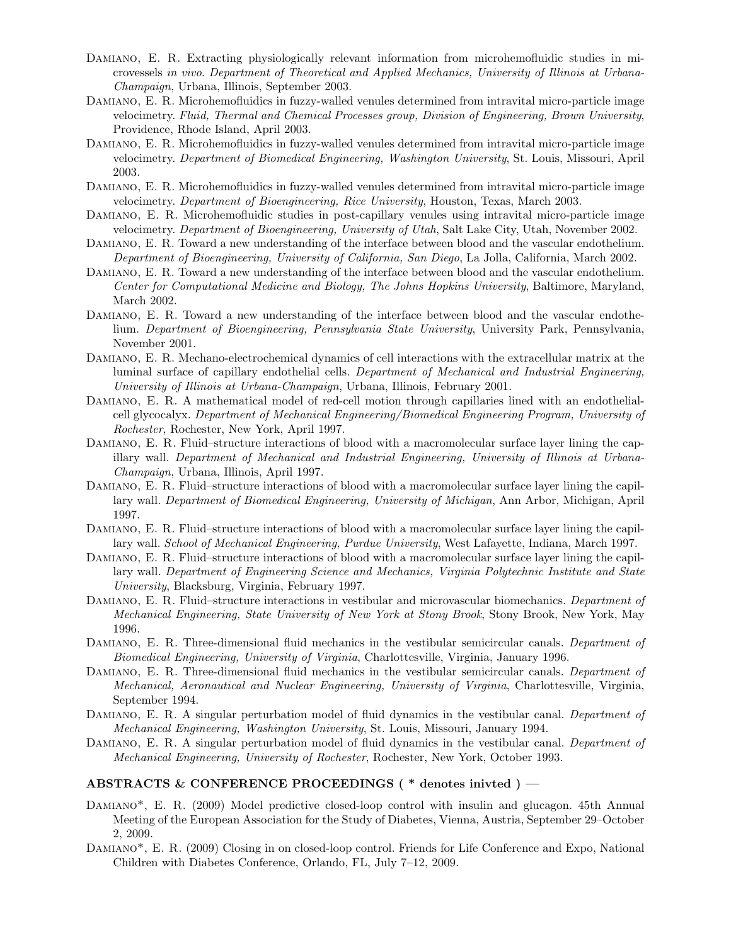- Damiano, E. R. Extracting physiologically relevant information from microhemofluidic studies in microvessels in vivo. Department of Theoretical and Applied Mechanics, University of Illinois at Urbana-Champaign, Urbana, Illinois, September 2003.
- Damiano, E. R. Microhemofluidics in fuzzy-walled venules determined from intravital micro-particle image velocimetry. Fluid, Thermal and Chemical Processes group, Division of Engineering, Brown University, Providence, Rhode Island, April 2003.
- Damiano, E. R. Microhemofluidics in fuzzy-walled venules determined from intravital micro-particle image velocimetry. Department of Biomedical Engineering, Washington University, St. Louis, Missouri, April 2003.
- Damiano, E. R. Microhemofluidics in fuzzy-walled venules determined from intravital micro-particle image velocimetry. Department of Bioengineering, Rice University, Houston, Texas, March 2003.
- Damiano, E. R. Microhemofluidic studies in post-capillary venules using intravital micro-particle image velocimetry. Department of Bioengineering, University of Utah, Salt Lake City, Utah, November 2002.
- Damiano, E. R. Toward a new understanding of the interface between blood and the vascular endothelium. Department of Bioengineering, University of California, San Diego, La Jolla, California, March 2002.
- Damiano, E. R. Toward a new understanding of the interface between blood and the vascular endothelium. Center for Computational Medicine and Biology, The Johns Hopkins University, Baltimore, Maryland, March 2002.
- Damiano, E. R. Toward a new understanding of the interface between blood and the vascular endothelium. Department of Bioengineering, Pennsylvania State University, University Park, Pennsylvania, November 2001.
- Damiano, E. R. Mechano-electrochemical dynamics of cell interactions with the extracellular matrix at the luminal surface of capillary endothelial cells. Department of Mechanical and Industrial Engineering, University of Illinois at Urbana-Champaign, Urbana, Illinois, February 2001.
- Damiano, E. R. A mathematical model of red-cell motion through capillaries lined with an endothelialcell glycocalyx. Department of Mechanical Engineering/Biomedical Engineering Program, University of Rochester, Rochester, New York, April 1997.
- Damiano, E. R. Fluid–structure interactions of blood with a macromolecular surface layer lining the capillary wall. Department of Mechanical and Industrial Engineering, University of Illinois at Urbana-Champaign, Urbana, Illinois, April 1997.
- Damiano, E. R. Fluid–structure interactions of blood with a macromolecular surface layer lining the capillary wall. Department of Biomedical Engineering, University of Michigan, Ann Arbor, Michigan, April 1997.
- Damiano, E. R. Fluid–structure interactions of blood with a macromolecular surface layer lining the capillary wall. School of Mechanical Engineering, Purdue University, West Lafayette, Indiana, March 1997.
- Damiano, E. R. Fluid–structure interactions of blood with a macromolecular surface layer lining the capillary wall. Department of Engineering Science and Mechanics, Virginia Polytechnic Institute and State University, Blacksburg, Virginia, February 1997.
- DAMIANO, E. R. Fluid–structure interactions in vestibular and microvascular biomechanics. Department of Mechanical Engineering, State University of New York at Stony Brook, Stony Brook, New York, May 1996.
- DAMIANO, E. R. Three-dimensional fluid mechanics in the vestibular semicircular canals. Department of Biomedical Engineering, University of Virginia, Charlottesville, Virginia, January 1996.
- DAMIANO, E. R. Three-dimensional fluid mechanics in the vestibular semicircular canals. Department of Mechanical, Aeronautical and Nuclear Engineering, University of Virginia, Charlottesville, Virginia, September 1994.
- DAMIANO, E. R. A singular perturbation model of fluid dynamics in the vestibular canal. Department of Mechanical Engineering, Washington University, St. Louis, Missouri, January 1994.
- DAMIANO, E. R. A singular perturbation model of fluid dynamics in the vestibular canal. Department of Mechanical Engineering, University of Rochester, Rochester, New York, October 1993.

#### ABSTRACTS & CONFERENCE PROCEEDINGS ( \* denotes inivted ) —

- Damiano\*, E. R. (2009) Model predictive closed-loop control with insulin and glucagon. 45th Annual Meeting of the European Association for the Study of Diabetes, Vienna, Austria, September 29–October 2, 2009.
- Damiano\*, E. R. (2009) Closing in on closed-loop control. Friends for Life Conference and Expo, National Children with Diabetes Conference, Orlando, FL, July 7–12, 2009.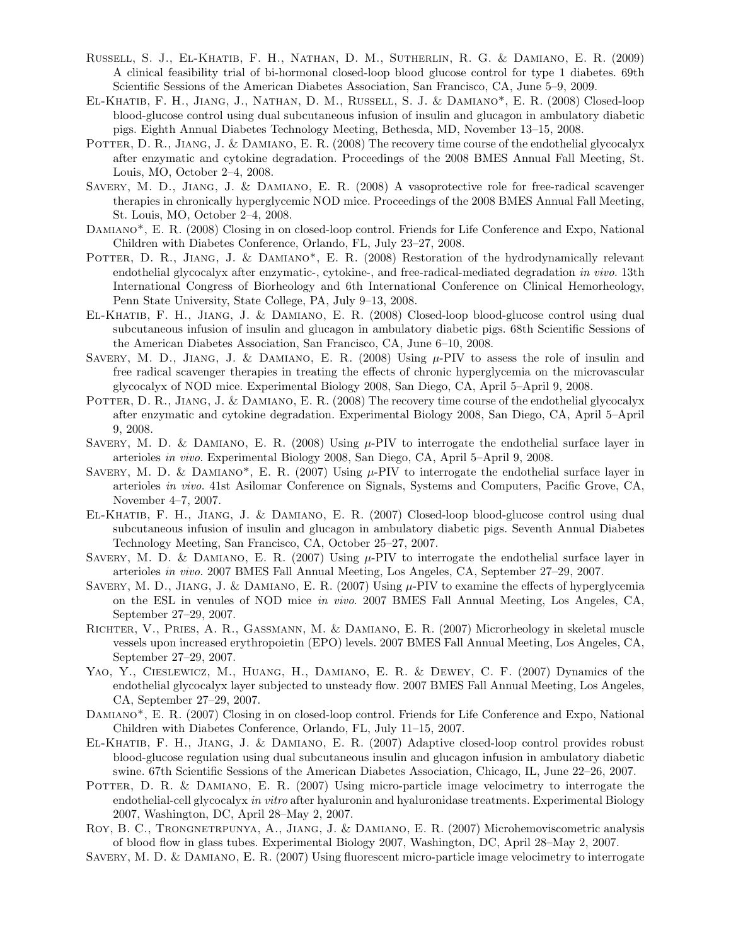- Russell, S. J., El-Khatib, F. H., Nathan, D. M., Sutherlin, R. G. & Damiano, E. R. (2009) A clinical feasibility trial of bi-hormonal closed-loop blood glucose control for type 1 diabetes. 69th Scientific Sessions of the American Diabetes Association, San Francisco, CA, June 5–9, 2009.
- El-Khatib, F. H., Jiang, J., Nathan, D. M., Russell, S. J. & Damiano\*, E. R. (2008) Closed-loop blood-glucose control using dual subcutaneous infusion of insulin and glucagon in ambulatory diabetic pigs. Eighth Annual Diabetes Technology Meeting, Bethesda, MD, November 13–15, 2008.
- POTTER, D. R., JIANG, J. & DAMIANO, E. R. (2008) The recovery time course of the endothelial glycocalyx after enzymatic and cytokine degradation. Proceedings of the 2008 BMES Annual Fall Meeting, St. Louis, MO, October 2–4, 2008.
- Savery, M. D., Jiang, J. & Damiano, E. R. (2008) A vasoprotective role for free-radical scavenger therapies in chronically hyperglycemic NOD mice. Proceedings of the 2008 BMES Annual Fall Meeting, St. Louis, MO, October 2–4, 2008.
- Damiano\*, E. R. (2008) Closing in on closed-loop control. Friends for Life Conference and Expo, National Children with Diabetes Conference, Orlando, FL, July 23–27, 2008.
- POTTER, D. R., JIANG, J. & DAMIANO\*, E. R. (2008) Restoration of the hydrodynamically relevant endothelial glycocalyx after enzymatic-, cytokine-, and free-radical-mediated degradation in vivo. 13th International Congress of Biorheology and 6th International Conference on Clinical Hemorheology, Penn State University, State College, PA, July 9–13, 2008.
- El-Khatib, F. H., Jiang, J. & Damiano, E. R. (2008) Closed-loop blood-glucose control using dual subcutaneous infusion of insulin and glucagon in ambulatory diabetic pigs. 68th Scientific Sessions of the American Diabetes Association, San Francisco, CA, June 6–10, 2008.
- SAVERY, M. D., JIANG, J. & DAMIANO, E. R.  $(2008)$  Using  $\mu$ -PIV to assess the role of insulin and free radical scavenger therapies in treating the effects of chronic hyperglycemia on the microvascular glycocalyx of NOD mice. Experimental Biology 2008, San Diego, CA, April 5–April 9, 2008.
- POTTER, D. R., JIANG, J. & DAMIANO, E. R. (2008) The recovery time course of the endothelial glycocalyx after enzymatic and cytokine degradation. Experimental Biology 2008, San Diego, CA, April 5–April 9, 2008.
- SAVERY, M. D. & DAMIANO, E. R. (2008) Using  $\mu$ -PIV to interrogate the endothelial surface layer in arterioles in vivo. Experimental Biology 2008, San Diego, CA, April 5–April 9, 2008.
- SAVERY, M. D. & DAMIANO<sup>\*</sup>, E. R. (2007) Using  $\mu$ -PIV to interrogate the endothelial surface layer in arterioles in vivo. 41st Asilomar Conference on Signals, Systems and Computers, Pacific Grove, CA, November 4–7, 2007.
- El-Khatib, F. H., Jiang, J. & Damiano, E. R. (2007) Closed-loop blood-glucose control using dual subcutaneous infusion of insulin and glucagon in ambulatory diabetic pigs. Seventh Annual Diabetes Technology Meeting, San Francisco, CA, October 25–27, 2007.
- SAVERY, M. D. & DAMIANO, E. R. (2007) Using  $\mu$ -PIV to interrogate the endothelial surface layer in arterioles in vivo. 2007 BMES Fall Annual Meeting, Los Angeles, CA, September 27–29, 2007.
- SAVERY, M. D., JIANG, J. & DAMIANO, E. R. (2007) Using  $\mu$ -PIV to examine the effects of hyperglycemia on the ESL in venules of NOD mice in vivo. 2007 BMES Fall Annual Meeting, Los Angeles, CA, September 27–29, 2007.
- Richter, V., Pries, A. R., Gassmann, M. & Damiano, E. R. (2007) Microrheology in skeletal muscle vessels upon increased erythropoietin (EPO) levels. 2007 BMES Fall Annual Meeting, Los Angeles, CA, September 27–29, 2007.
- YAO, Y., CIESLEWICZ, M., HUANG, H., DAMIANO, E. R. & DEWEY, C. F. (2007) Dynamics of the endothelial glycocalyx layer subjected to unsteady flow. 2007 BMES Fall Annual Meeting, Los Angeles, CA, September 27–29, 2007.
- Damiano\*, E. R. (2007) Closing in on closed-loop control. Friends for Life Conference and Expo, National Children with Diabetes Conference, Orlando, FL, July 11–15, 2007.
- El-Khatib, F. H., Jiang, J. & Damiano, E. R. (2007) Adaptive closed-loop control provides robust blood-glucose regulation using dual subcutaneous insulin and glucagon infusion in ambulatory diabetic swine. 67th Scientific Sessions of the American Diabetes Association, Chicago, IL, June 22–26, 2007.
- POTTER, D. R. & DAMIANO, E. R. (2007) Using micro-particle image velocimetry to interrogate the endothelial-cell glycocalyx in vitro after hyaluronin and hyaluronidase treatments. Experimental Biology 2007, Washington, DC, April 28–May 2, 2007.
- Roy, B. C., Trongnetrpunya, A., Jiang, J. & Damiano, E. R. (2007) Microhemoviscometric analysis of blood flow in glass tubes. Experimental Biology 2007, Washington, DC, April 28–May 2, 2007.
- Savery, M. D. & Damiano, E. R. (2007) Using fluorescent micro-particle image velocimetry to interrogate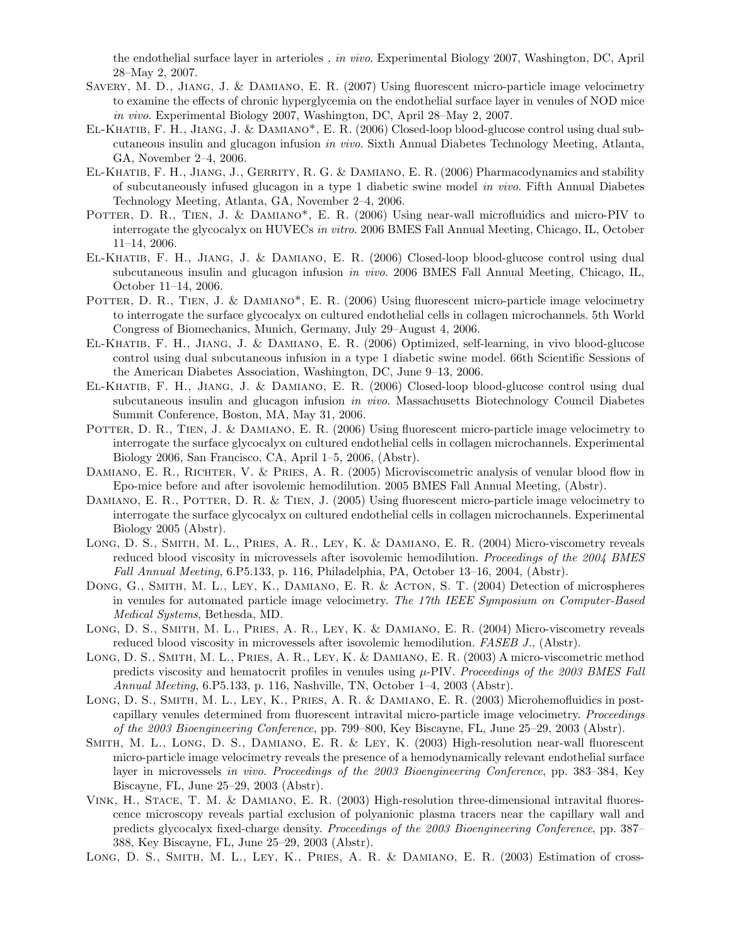the endothelial surface layer in arterioles , in vivo. Experimental Biology 2007, Washington, DC, April 28–May 2, 2007.

- Savery, M. D., Jiang, J. & Damiano, E. R. (2007) Using fluorescent micro-particle image velocimetry to examine the effects of chronic hyperglycemia on the endothelial surface layer in venules of NOD mice in vivo. Experimental Biology 2007, Washington, DC, April 28–May 2, 2007.
- El-Khatib, F. H., Jiang, J. & Damiano\*, E. R. (2006) Closed-loop blood-glucose control using dual subcutaneous insulin and glucagon infusion in vivo. Sixth Annual Diabetes Technology Meeting, Atlanta, GA, November 2–4, 2006.
- El-Khatib, F. H., Jiang, J., Gerrity, R. G. & Damiano, E. R. (2006) Pharmacodynamics and stability of subcutaneously infused glucagon in a type 1 diabetic swine model in vivo. Fifth Annual Diabetes Technology Meeting, Atlanta, GA, November 2–4, 2006.
- POTTER, D. R., TIEN, J. & DAMIANO<sup>\*</sup>, E. R. (2006) Using near-wall microfluidics and micro-PIV to interrogate the glycocalyx on HUVECs in vitro. 2006 BMES Fall Annual Meeting, Chicago, IL, October 11–14, 2006.
- El-Khatib, F. H., Jiang, J. & Damiano, E. R. (2006) Closed-loop blood-glucose control using dual subcutaneous insulin and glucagon infusion in vivo. 2006 BMES Fall Annual Meeting, Chicago, IL, October 11–14, 2006.
- POTTER, D. R., TIEN, J. & DAMIANO<sup>\*</sup>, E. R. (2006) Using fluorescent micro-particle image velocimetry to interrogate the surface glycocalyx on cultured endothelial cells in collagen microchannels. 5th World Congress of Biomechanics, Munich, Germany, July 29–August 4, 2006.
- El-Khatib, F. H., Jiang, J. & Damiano, E. R. (2006) Optimized, self-learning, in vivo blood-glucose control using dual subcutaneous infusion in a type 1 diabetic swine model. 66th Scientific Sessions of the American Diabetes Association, Washington, DC, June 9–13, 2006.
- El-Khatib, F. H., Jiang, J. & Damiano, E. R. (2006) Closed-loop blood-glucose control using dual subcutaneous insulin and glucagon infusion *in vivo*. Massachusetts Biotechnology Council Diabetes Summit Conference, Boston, MA, May 31, 2006.
- POTTER, D. R., TIEN, J. & DAMIANO, E. R. (2006) Using fluorescent micro-particle image velocimetry to interrogate the surface glycocalyx on cultured endothelial cells in collagen microchannels. Experimental Biology 2006, San Francisco, CA, April 1–5, 2006, (Abstr).
- DAMIANO, E. R., RICHTER, V. & PRIES, A. R. (2005) Microviscometric analysis of venular blood flow in Epo-mice before and after isovolemic hemodilution. 2005 BMES Fall Annual Meeting, (Abstr).
- DAMIANO, E. R., POTTER, D. R. & TIEN, J. (2005) Using fluorescent micro-particle image velocimetry to interrogate the surface glycocalyx on cultured endothelial cells in collagen microchannels. Experimental Biology 2005 (Abstr).
- Long, D. S., Smith, M. L., Pries, A. R., Ley, K. & Damiano, E. R. (2004) Micro-viscometry reveals reduced blood viscosity in microvessels after isovolemic hemodilution. Proceedings of the 2004 BMES Fall Annual Meeting, 6.P5.133, p. 116, Philadelphia, PA, October 13–16, 2004, (Abstr).
- Dong, G., Smith, M. L., Ley, K., Damiano, E. R. & Acton, S. T. (2004) Detection of microspheres in venules for automated particle image velocimetry. The 17th IEEE Symposium on Computer-Based Medical Systems, Bethesda, MD.
- Long, D. S., Smith, M. L., Pries, A. R., Ley, K. & Damiano, E. R. (2004) Micro-viscometry reveals reduced blood viscosity in microvessels after isovolemic hemodilution. FASEB J., (Abstr).
- Long, D. S., Smith, M. L., Pries, A. R., Ley, K. & Damiano, E. R. (2003) A micro-viscometric method predicts viscosity and hematocrit profiles in venules using  $\mu$ -PIV. Proceedings of the 2003 BMES Fall Annual Meeting, 6.P5.133, p. 116, Nashville, TN, October 1–4, 2003 (Abstr).
- Long, D. S., Smith, M. L., Ley, K., Pries, A. R. & Damiano, E. R. (2003) Microhemofluidics in postcapillary venules determined from fluorescent intravital micro-particle image velocimetry. Proceedings of the 2003 Bioengineering Conference, pp. 799–800, Key Biscayne, FL, June 25–29, 2003 (Abstr).
- Smith, M. L., Long, D. S., Damiano, E. R. & Ley, K. (2003) High-resolution near-wall fluorescent micro-particle image velocimetry reveals the presence of a hemodynamically relevant endothelial surface layer in microvessels in vivo. Proceedings of the 2003 Bioengineering Conference, pp. 383–384, Key Biscayne, FL, June 25–29, 2003 (Abstr).
- Vink, H., Stace, T. M. & Damiano, E. R. (2003) High-resolution three-dimensional intravital fluorescence microscopy reveals partial exclusion of polyanionic plasma tracers near the capillary wall and predicts glycocalyx fixed-charge density. Proceedings of the 2003 Bioengineering Conference, pp. 387– 388, Key Biscayne, FL, June 25–29, 2003 (Abstr).
- Long, D. S., Smith, M. L., Ley, K., Pries, A. R. & Damiano, E. R. (2003) Estimation of cross-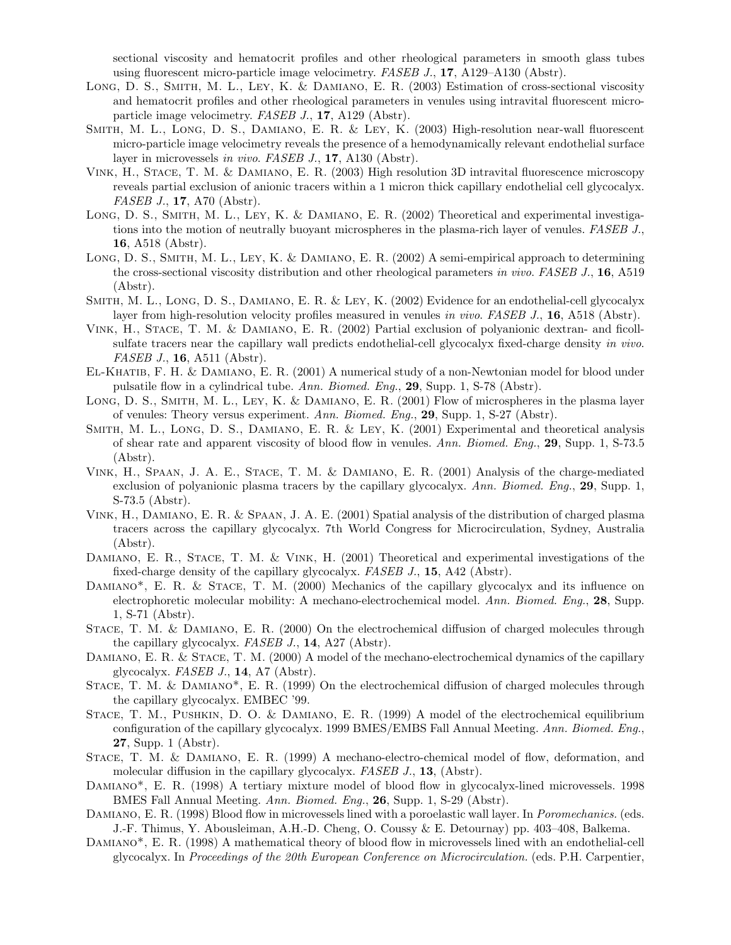sectional viscosity and hematocrit profiles and other rheological parameters in smooth glass tubes using fluorescent micro-particle image velocimetry. FASEB J., 17, A129–A130 (Abstr).

- Long, D. S., Smith, M. L., Ley, K. & Damiano, E. R. (2003) Estimation of cross-sectional viscosity and hematocrit profiles and other rheological parameters in venules using intravital fluorescent microparticle image velocimetry. FASEB J., 17, A129 (Abstr).
- Smith, M. L., Long, D. S., Damiano, E. R. & Ley, K. (2003) High-resolution near-wall fluorescent micro-particle image velocimetry reveals the presence of a hemodynamically relevant endothelial surface layer in microvessels in vivo. FASEB J., 17, A130 (Abstr).
- Vink, H., Stace, T. M. & Damiano, E. R. (2003) High resolution 3D intravital fluorescence microscopy reveals partial exclusion of anionic tracers within a 1 micron thick capillary endothelial cell glycocalyx. FASEB J., **17**, A70 (Abstr).
- Long, D. S., Smith, M. L., Ley, K. & Damiano, E. R. (2002) Theoretical and experimental investigations into the motion of neutrally buoyant microspheres in the plasma-rich layer of venules. FASEB J., 16, A518 (Abstr).
- LONG, D. S., SMITH, M. L., LEY, K. & DAMIANO, E. R. (2002) A semi-empirical approach to determining the cross-sectional viscosity distribution and other rheological parameters in vivo. FASEB J.,  $16,$  A519 (Abstr).
- Smith, M. L., Long, D. S., Damiano, E. R. & Ley, K. (2002) Evidence for an endothelial-cell glycocalyx layer from high-resolution velocity profiles measured in venules in vivo. FASEB J., 16, A518 (Abstr).
- Vink, H., Stace, T. M. & Damiano, E. R. (2002) Partial exclusion of polyanionic dextran- and ficollsulfate tracers near the capillary wall predicts endothelial-cell glycocalyx fixed-charge density in vivo. FASEB J., **16**, A511 (Abstr).
- El-Khatib, F. H. & Damiano, E. R. (2001) A numerical study of a non-Newtonian model for blood under pulsatile flow in a cylindrical tube. Ann. Biomed. Eng., 29, Supp. 1, S-78 (Abstr).
- Long, D. S., Smith, M. L., Ley, K. & Damiano, E. R. (2001) Flow of microspheres in the plasma layer of venules: Theory versus experiment. Ann. Biomed. Eng., 29, Supp. 1, S-27 (Abstr).
- Smith, M. L., Long, D. S., Damiano, E. R. & Ley, K. (2001) Experimental and theoretical analysis of shear rate and apparent viscosity of blood flow in venules. Ann. Biomed. Eng., 29, Supp. 1, S-73.5 (Abstr).
- Vink, H., Spaan, J. A. E., Stace, T. M. & Damiano, E. R. (2001) Analysis of the charge-mediated exclusion of polyanionic plasma tracers by the capillary glycocalyx. Ann. Biomed. Eng., 29, Supp. 1, S-73.5 (Abstr).
- Vink, H., Damiano, E. R. & Spaan, J. A. E. (2001) Spatial analysis of the distribution of charged plasma tracers across the capillary glycocalyx. 7th World Congress for Microcirculation, Sydney, Australia (Abstr).
- DAMIANO, E. R., STACE, T. M. & VINK, H. (2001) Theoretical and experimental investigations of the fixed-charge density of the capillary glycocalyx. FASEB J., 15, A42 (Abstr).
- DAMIANO<sup>\*</sup>, E. R. & STACE, T. M. (2000) Mechanics of the capillary glycocalyx and its influence on electrophoretic molecular mobility: A mechano-electrochemical model. Ann. Biomed. Eng., 28, Supp. 1, S-71 (Abstr).
- Stace, T. M. & Damiano, E. R. (2000) On the electrochemical diffusion of charged molecules through the capillary glycocalyx. FASEB J., 14, A27 (Abstr).
- DAMIANO, E. R. & STACE, T. M. (2000) A model of the mechano-electrochemical dynamics of the capillary glycocalyx. FASEB J., 14, A7 (Abstr).
- STACE, T. M. & DAMIANO<sup>\*</sup>, E. R. (1999) On the electrochemical diffusion of charged molecules through the capillary glycocalyx. EMBEC '99.
- Stace, T. M., Pushkin, D. O. & Damiano, E. R. (1999) A model of the electrochemical equilibrium configuration of the capillary glycocalyx. 1999 BMES/EMBS Fall Annual Meeting. Ann. Biomed. Eng., 27, Supp. 1 (Abstr).
- Stace, T. M. & Damiano, E. R. (1999) A mechano-electro-chemical model of flow, deformation, and molecular diffusion in the capillary glycocalyx. FASEB J., 13, (Abstr).
- DAMIANO<sup>\*</sup>, E. R. (1998) A tertiary mixture model of blood flow in glycocalyx-lined microvessels. 1998 BMES Fall Annual Meeting. Ann. Biomed. Eng., 26, Supp. 1, S-29 (Abstr).
- DAMIANO, E. R. (1998) Blood flow in microvessels lined with a poroelastic wall layer. In Poromechanics. (eds. J.-F. Thimus, Y. Abousleiman, A.H.-D. Cheng, O. Coussy & E. Detournay) pp. 403–408, Balkema.
- Damiano\*, E. R. (1998) A mathematical theory of blood flow in microvessels lined with an endothelial-cell glycocalyx. In Proceedings of the 20th European Conference on Microcirculation. (eds. P.H. Carpentier,